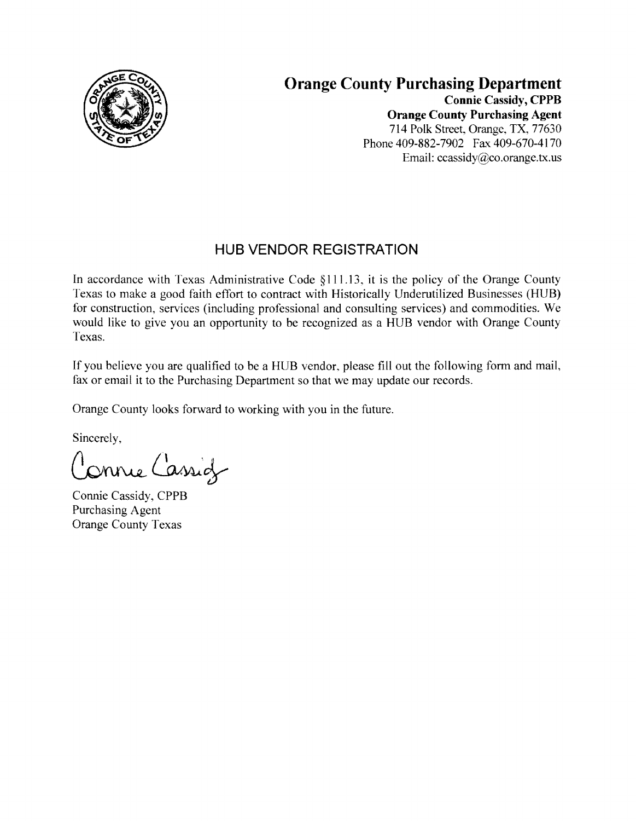

#### **Orange County Purchasing Department Connie** Cassidy, **CPPB Orange County Purchasing Agent**  714 Polk Street, Orange, TX, 77630 Phone 409-882-7902 Fax 409-670-4170 Email: ccassidy@co.orange.tx.us

# **HUB VENDOR REGISTRATION**

In accordance with Texas Administrative Code §111.13, it is the policy of the Orange County Texas to make a good faith effort to contract with Historically Underutilized Businesses (HUB) for construction, services (including professional and consulting services) and commodities. We would like to give you an opportunity to be recognized as a HUB vendor with Orange County Texas.

If you believe you are qualified to be a HUB vendor, please fill out the following form and mail, fax or email it to the Purchasing Department so that we may update our records.

Orange County looks forward to working with you in the future.

Sincerely,

Jonnie Cassig

Connie Cassidy, CPPB Purchasing Agent Orange County Texas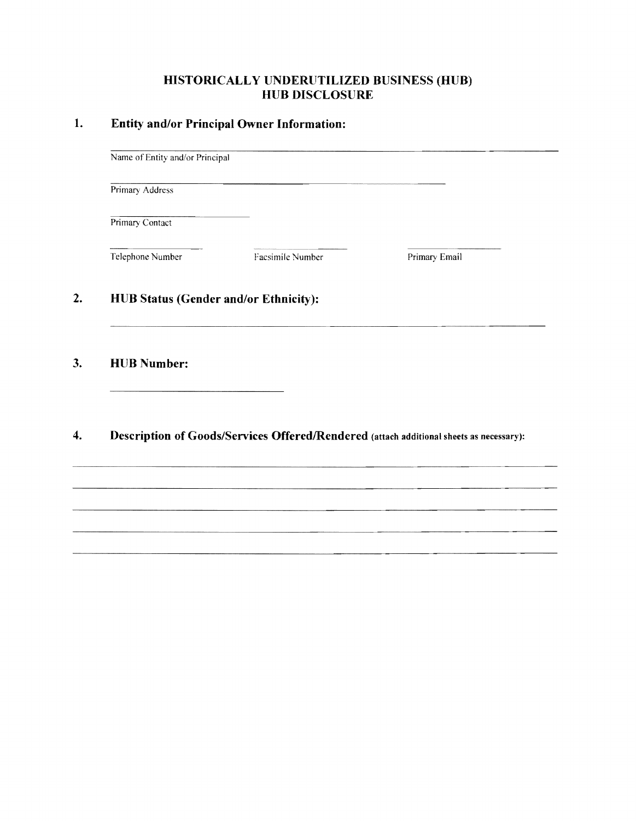#### **HISTORICALLY UNDERUTILIZED BUSINESS (HUB) HUB DISCLOSURE**

#### **1. Entity and/or Principal Owner Information:**

Name of Entity and/or Principal

Primary Address

Primary Contact

Telephone Number Facsimile Number Primary Email

## **2. HUB Status (Gender and/or Ethnicity):**

#### **3. HUB Number:**

## **4.** Description of Goods/Services Offered/Rendered (attach additional sheets as necessary):